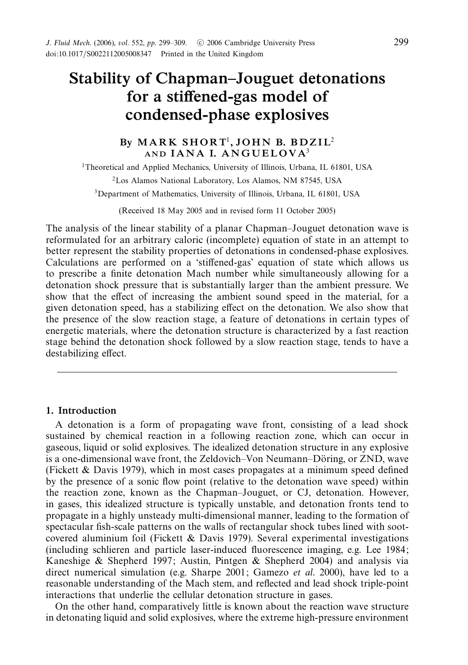# *Stability of Chapman–Jouguet detonations for a stiffened-gas model of condensed-phase explosives*

# By MARK SHORT<sup>1</sup>, JOHN B. BDZIL<sup>2</sup> AND **IANA I. ANGUELOVA**<sup>3</sup>

<sup>1</sup>Theoretical and Applied Mechanics, University of Illinois, Urbana, IL 61801, USA 2Los Alamos National Laboratory, Los Alamos, NM 87545, USA 3Department of Mathematics, University of Illinois, Urbana, IL 61801, USA

(Received 18 May 2005 and in revised form 11 October 2005)

The analysis of the linear stability of a planar Chapman–Jouguet detonation wave is reformulated for an arbitrary caloric (incomplete) equation of state in an attempt to better represent the stability properties of detonations in condensed-phase explosives. Calculations are performed on a 'stiffened-gas' equation of state which allows us to prescribe a finite detonation Mach number while simultaneously allowing for a detonation shock pressure that is substantially larger than the ambient pressure. We show that the effect of increasing the ambient sound speed in the material, for a given detonation speed, has a stabilizing effect on the detonation. We also show that the presence of the slow reaction stage, a feature of detonations in certain types of energetic materials, where the detonation structure is characterized by a fast reaction stage behind the detonation shock followed by a slow reaction stage, tends to have a destabilizing effect.

# *1. Introduction*

A detonation is a form of propagating wave front, consisting of a lead shock sustained by chemical reaction in a following reaction zone, which can occur in gaseous, liquid or solid explosives. The idealized detonation structure in any explosive is a one-dimensional wave front, the Zeldovich–Von Neumann–Döring, or ZND, wave (Fickett & Davis 1979), which in most cases propagates at a minimum speed defined by the presence of a sonic flow point (relative to the detonation wave speed) within the reaction zone, known as the Chapman–Jouguet, or CJ, detonation. However, in gases, this idealized structure is typically unstable, and detonation fronts tend to propagate in a highly unsteady multi-dimensional manner, leading to the formation of spectacular fish-scale patterns on the walls of rectangular shock tubes lined with sootcovered aluminium foil (Fickett  $\&$  Davis 1979). Several experimental investigations (including schlieren and particle laser-induced fluorescence imaging, e.g. Lee 1984; Kaneshige & Shepherd 1997; Austin, Pintgen & Shepherd 2004) and analysis via direct numerical simulation (e.g. Sharpe 2001; Gamezo *et al.* 2000), have led to a reasonable understanding of the Mach stem, and reflected and lead shock triple-point interactions that underlie the cellular detonation structure in gases.

On the other hand, comparatively little is known about the reaction wave structure in detonating liquid and solid explosives, where the extreme high-pressure environment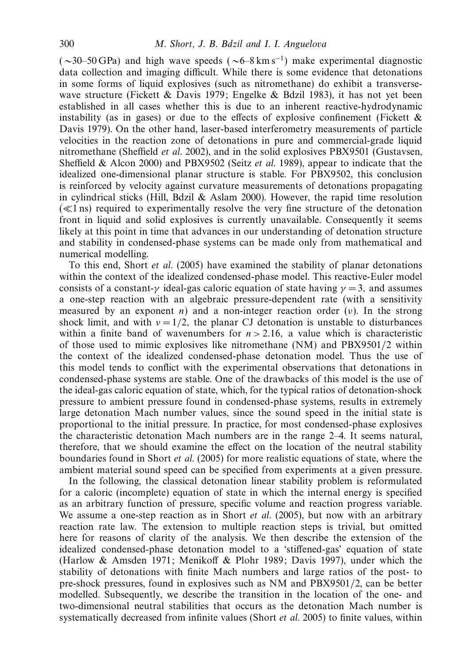$(\sim 30–50 \text{ GPa})$  and high wave speeds  $(\sim 6-8 \text{ km s}^{-1})$  make experimental diagnostic data collection and imaging difficult. While there is some evidence that detonations in some forms of liquid explosives (such as nitromethane) do exhibit a transversewave structure (Fickett & Davis 1979; Engelke & Bdzil 1983), it has not yet been established in all cases whether this is due to an inherent reactive-hydrodynamic instability (as in gases) or due to the effects of explosive confinement (Fickett  $\&$ Davis 1979). On the other hand, laser-based interferometry measurements of particle velocities in the reaction zone of detonations in pure and commercial-grade liquid nitromethane (Sheffield et al. 2002), and in the solid explosives PBX9501 (Gustavsen, Sheffield & Alcon 2000) and PBX9502 (Seitz et al. 1989), appear to indicate that the idealized one-dimensional planar structure is stable. For PBX9502, this conclusion is reinforced by velocity against curvature measurements of detonations propagating in cylindrical sticks (Hill, Bdzil  $\&$  Aslam 2000). However, the rapid time resolution  $(\ll 1 \text{ ns})$  required to experimentally resolve the very fine structure of the detonation front in liquid and solid explosives is currently unavailable. Consequently it seems likely at this point in time that advances in our understanding of detonation structure and stability in condensed-phase systems can be made only from mathematical and numerical modelling.

To this end, Short et al. (2005) have examined the stability of planar detonations within the context of the idealized condensed-phase model. This reactive-Euler model consists of a constant- $\gamma$  ideal-gas caloric equation of state having  $\gamma = 3$ , and assumes a one-step reaction with an algebraic pressure-dependent rate (with a sensitivity measured by an exponent *n*) and a non-integer reaction order (*ν*). In the strong shock limit, and with  $\nu = 1/2$ , the planar CJ detonation is unstable to disturbances within a finite band of wavenumbers for  $n > 2.16$ , a value which is characteristic of those used to mimic explosives like nitromethane (NM) and PBX9501/2 within the context of the idealized condensed-phase detonation model. Thus the use of this model tends to conflict with the experimental observations that detonations in condensed-phase systems are stable. One of the drawbacks of this model is the use of the ideal-gas caloric equation of state, which, for the typical ratios of detonation-shock pressure to ambient pressure found in condensed-phase systems, results in extremely large detonation Mach number values, since the sound speed in the initial state is proportional to the initial pressure. In practice, for most condensed-phase explosives the characteristic detonation Mach numbers are in the range 2–4. It seems natural, therefore, that we should examine the effect on the location of the neutral stability boundaries found in Short et al. (2005) for more realistic equations of state, where the ambient material sound speed can be specified from experiments at a given pressure.

In the following, the classical detonation linear stability problem is reformulated for a caloric (incomplete) equation of state in which the internal energy is specified as an arbitrary function of pressure, specific volume and reaction progress variable. We assume a one-step reaction as in Short *et al.* (2005), but now with an arbitrary reaction rate law. The extension to multiple reaction steps is trivial, but omitted here for reasons of clarity of the analysis. We then describe the extension of the idealized condensed-phase detonation model to a 'stiffened-gas' equation of state (Harlow & Amsden 1971; Menikoff & Plohr 1989; Davis 1997), under which the stability of detonations with finite Mach numbers and large ratios of the post- to pre-shock pressures, found in explosives such as NM and PBX9501/2, can be better modelled. Subsequently, we describe the transition in the location of the one- and two-dimensional neutral stabilities that occurs as the detonation Mach number is systematically decreased from infinite values (Short et al. 2005) to finite values, within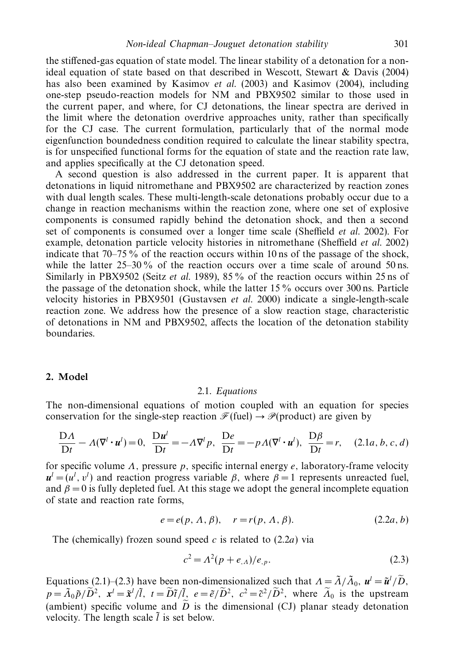the stiffened-gas equation of state model. The linear stability of a detonation for a nonideal equation of state based on that described in Wescott, Stewart & Davis (2004) has also been examined by Kasimov *et al.* (2003) and Kasimov (2004), including one-step pseudo-reaction models for NM and PBX9502 similar to those used in the current paper, and where, for CJ detonations, the linear spectra are derived in the limit where the detonation overdrive approaches unity, rather than specifically for the CJ case. The current formulation, particularly that of the normal mode eigenfunction boundedness condition required to calculate the linear stability spectra, is for unspecified functional forms for the equation of state and the reaction rate law, and applies specifically at the CJ detonation speed.

A second question is also addressed in the current paper. It is apparent that detonations in liquid nitromethane and PBX9502 are characterized by reaction zones with dual length scales. These multi-length-scale detonations probably occur due to a change in reaction mechanisms within the reaction zone, where one set of explosive components is consumed rapidly behind the detonation shock, and then a second set of components is consumed over a longer time scale (Sheffield et al. 2002). For example, detonation particle velocity histories in nitromethane (Sheffield *et al.* 2002) indicate that 70–75 % of the reaction occurs within 10 ns of the passage of the shock, while the latter  $25-30\%$  of the reaction occurs over a time scale of around 50 ns. Similarly in PBX9502 (Seitz et al. 1989), 85 % of the reaction occurs within 25 ns of the passage of the detonation shock, while the latter 15 % occurs over 300 ns. Particle velocity histories in PBX9501 (Gustavsen et al. 2000) indicate a single-length-scale reaction zone. We address how the presence of a slow reaction stage, characteristic of detonations in NM and PBX9502, affects the location of the detonation stability boundaries.

#### *2. Model*

#### 2.1. Equations

The non-dimensional equations of motion coupled with an equation for species conservation for the single-step reaction  $\mathcal{F}$ (fuel)  $\rightarrow \mathcal{P}$ (product) are given by

$$
\frac{D\Lambda}{Dt} - \Lambda(\nabla^l \cdot \mathbf{u}^l) = 0, \quad \frac{D\mathbf{u}^l}{Dt} = -\Lambda \nabla^l p, \quad \frac{De}{Dt} = -p\Lambda(\nabla^l \cdot \mathbf{u}^l), \quad \frac{D\beta}{Dt} = r, \quad (2.1a, b, c, d)
$$

for specific volume *Λ,* pressure *p,* specific internal energy *e,* laboratory-frame velocity  $u^l = (u^l, v^l)$  and reaction progress variable *β*, where  $\beta = 1$  represents unreacted fuel, and  $\beta = 0$  is fully depleted fuel. At this stage we adopt the general incomplete equation of state and reaction rate forms,

$$
e = e(p, \Lambda, \beta), \quad r = r(p, \Lambda, \beta). \tag{2.2a, b}
$$

The (chemically) frozen sound speed *c* is related to (2.2*a*) via

$$
c^2 = \Lambda^2(p + e_{,A})/e_{,p}.\tag{2.3}
$$

Equations (2.1)–(2.3) have been non-dimensionalized such that  $\Lambda = \tilde{\Lambda}/\tilde{\Lambda}_0$ ,  $u^l = \tilde{u}^l/\tilde{D}$ ,  $p = \tilde{\Lambda}_0 \tilde{p}/\tilde{D}^2$ ,  $\mathbf{x}' = \tilde{\mathbf{x}}' / \tilde{l}$ ,  $t = \tilde{D} \tilde{t} / \tilde{l}$ ,  $e = \tilde{e}/\tilde{D}^2$ ,  $c^2 = \tilde{c}^2 / \tilde{D}^2$ , where  $\tilde{\Lambda}_0$  is the upstream (ambient) specific volume and  $\tilde{D}$  is the dimensional (CJ) planar steady detonation velocity. The length scale  $\tilde{l}$  is set below.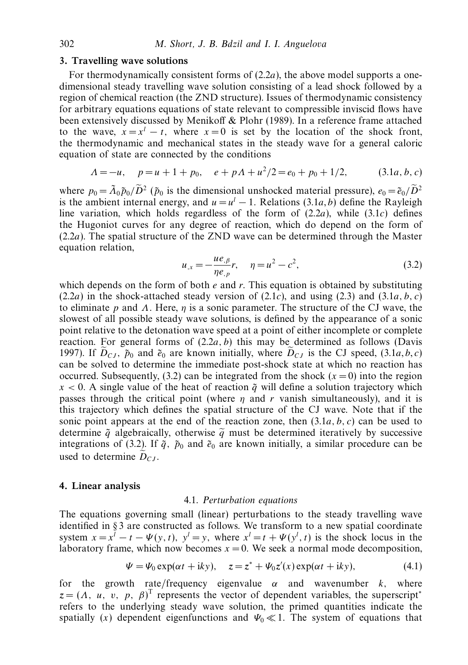#### *3. Travelling wave solutions*

For thermodynamically consistent forms of (2.2*a*), the above model supports a onedimensional steady travelling wave solution consisting of a lead shock followed by a region of chemical reaction (the ZND structure). Issues of thermodynamic consistency for arbitrary equations equations of state relevant to compressible inviscid flows have been extensively discussed by Menikoff & Plohr (1989). In a reference frame attached to the wave,  $x = x^l - t$ , where  $x = 0$  is set by the location of the shock front, the thermodynamic and mechanical states in the steady wave for a general caloric equation of state are connected by the conditions

$$
\Lambda = -u, \quad p = u + 1 + p_0, \quad e + p\Lambda + u^2/2 = e_0 + p_0 + 1/2, \tag{3.1a, b, c}
$$

where  $p_0 = \tilde{\Lambda}_0 \tilde{p}_0 / \tilde{D}^2$  ( $\tilde{p}_0$  is the dimensional unshocked material pressure),  $e_0 = \tilde{e}_0 / \tilde{D}^2$ is the ambient internal energy, and  $u = u^{l} - 1$ . Relations (3.1*a*, *b*) define the Rayleigh line variation, which holds regardless of the form of  $(2.2a)$ , while  $(3.1c)$  defines the Hugoniot curves for any degree of reaction, which do depend on the form of (2.2*a*). The spatial structure of the ZND wave can be determined through the Master equation relation,

$$
u_{,x} = -\frac{ue_{,\beta}}{\eta e_{,p}}r, \quad \eta = u^2 - c^2,
$$
\n(3.2)

which depends on the form of both *e* and *r.* This equation is obtained by substituting  $(2.2a)$  in the shock-attached steady version of  $(2.1c)$ , and using  $(2.3)$  and  $(3.1a, b, c)$ to eliminate *p* and *Λ.* Here, *η* is a sonic parameter. The structure of the CJ wave, the slowest of all possible steady wave solutions, is defined by the appearance of a sonic point relative to the detonation wave speed at a point of either incomplete or complete reaction. For general forms of  $(2.2a, b)$  this may be determined as follows (Davis 1997). If  $D_{CJ}$ ,  $\tilde{p}_0$  and  $\tilde{e}_0$  are known initially, where  $D_{CJ}$  is the CJ speed, (3.1*a*, *b*, *c*) can be solved to determine the immediate post-shock state at which no reaction has occurred. Subsequently,  $(3.2)$  can be integrated from the shock  $(x = 0)$  into the region  $x < 0$ . A single value of the heat of reaction  $\tilde{q}$  will define a solution trajectory which passes through the critical point (where *η* and *r* vanish simultaneously), and it is this trajectory which defines the spatial structure of the CJ wave. Note that if the sonic point appears at the end of the reaction zone, then (3.1*a, b, c*) can be used to determine  $\tilde{q}$  algebraically, otherwise  $\tilde{q}$  must be determined iteratively by successive integrations of (3.2). If  $\tilde{q}$ ,  $\tilde{p}_0$  and  $\tilde{e}_0$  are known initially, a similar procedure can be used to determine  $D_{CJ}$ .

#### *4. Linear analysis*

#### 4.1. Perturbation equations

The equations governing small (linear) perturbations to the steady travelling wave identified in § 3 are constructed as follows. We transform to a new spatial coordinate system  $x = x^l - t - \Psi(y, t)$ ,  $y^l = y$ , where  $x^l = t + \Psi(y^l, t)$  is the shock locus in the laboratory frame, which now becomes  $x = 0$ . We seek a normal mode decomposition,

$$
\Psi = \Psi_0 \exp(\alpha t + iky), \quad z = z^* + \Psi_0 z'(x) \exp(\alpha t + iky), \tag{4.1}
$$

for the growth rate/frequency eigenvalue  $\alpha$  and wavenumber  $k$ , where  $z = (A, u, v, p, \beta)^T$  represents the vector of dependent variables, the superscript<sup>\*</sup> refers to the underlying steady wave solution, the primed quantities indicate the spatially (*x*) dependent eigenfunctions and  $\Psi_0 \ll 1$ . The system of equations that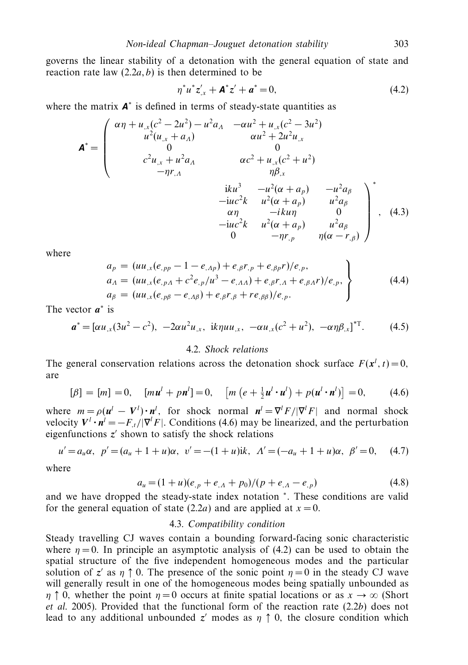governs the linear stability of a detonation with the general equation of state and reaction rate law  $(2.2a, b)$  is then determined to be

$$
\eta^* u^* z'_{,x} + \mathbf{A}^* z' + a^* = 0, \tag{4.2}
$$

where the matrix *A*<sup>∗</sup> is defined in terms of steady-state quantities as

$$
\mathbf{A}^* = \begin{pmatrix}\n\alpha \eta + u_{,x}(c^2 - 2u^2) - u^2 a_{A} & -\alpha u^2 + u_{,x}(c^2 - 3u^2) \\
u^2 (u_{,x} + a_{A}) & \alpha u^2 + 2u^2 u_{,x} \\
0 & 0 & 0 \\
c^2 u_{,x} + u^2 a_{A} & \alpha c^2 + u_{,x}(c^2 + u^2) \\
-\eta r_{,A} & \eta \beta_{,x} \\
i k u^3 & -u^2 (\alpha + a_p) & -u^2 a_{\beta} \\
-i u c^2 k & u^2 (\alpha + a_p) & u^2 a_{\beta} \\
\alpha \eta & -i k u \eta & 0 \\
-i u c^2 k & u^2 (\alpha + a_p) & u^2 a_{\beta} \\
0 & -\eta r_{,p} & \eta (\alpha - r_{, \beta})\n\end{pmatrix}^*,
$$
(4.3)

where

$$
a_p = (uu_{,x}(e_{,pp} - 1 - e_{,Ap}) + e_{,β}r_{,p} + e_{,βp}r)/e_{,p},
$$
  
\n
$$
a_A = (uu_{,x}(e_{,pA} + c^2e_{,p}/u^3 - e_{,AA}) + e_{,β}r_{,A} + e_{,βA}r)/e_{,p},
$$
  
\n
$$
a_\beta = (uu_{,x}(e_{,p\beta} - e_{,AB}) + e_{,β}r_{,β} + re_{,β\beta})/e_{,p}.
$$
\n(4.4)

The vector *a*<sup>∗</sup> is

$$
\boldsymbol{a}^* = [\alpha u_{,x}(3u^2 - c^2), -2\alpha u^2 u_{,x}, \text{ i}k\eta u u_{,x}, -\alpha u_{,x}(c^2 + u^2), -\alpha \eta \beta_{,x}]^{T}.
$$
 (4.5)

## 4.2. Shock relations

The general conservation relations across the detonation shock surface  $F(x^l, t) = 0$ , are

$$
[\beta] = [m] = 0, \quad [mu^{l} + p\mathbf{n}^{l}] = 0, \quad [m (e + \frac{1}{2}\mathbf{u}^{l} \cdot \mathbf{u}^{l}) + p(\mathbf{u}^{l} \cdot \mathbf{n}^{l})] = 0,
$$
 (4.6)

where  $m = \rho(\mathbf{u}^l - \mathbf{V}^l) \cdot \mathbf{n}^l$ , for shock normal  $\mathbf{n}^l = \nabla^l F / |\nabla^l F|$  and normal shock velocity  $V^l \cdot n^l = -F_{,t}/|\nabla^l F|$ . Conditions (4.6) may be linearized, and the perturbation eigenfunctions  $z'$  shown to satisfy the shock relations

$$
u' = a_u \alpha, \ \ p' = (a_u + 1 + u)\alpha, \ \ v' = -(1 + u)ik, \ \ \Lambda' = (-a_u + 1 + u)\alpha, \ \ \beta' = 0, \tag{4.7}
$$

where

$$
a_u = (1+u)(e_{,p} + e_{,A} + p_0)/(p + e_{,A} - e_{,p})
$$
\n(4.8)

and we have dropped the steady-state index notation <sup>∗</sup>*.* These conditions are valid for the general equation of state (2.2*a*) and are applied at  $x = 0$ .

## 4.3. Compatibility condition

Steady travelling CJ waves contain a bounding forward-facing sonic characteristic where  $\eta = 0$ . In principle an asymptotic analysis of (4.2) can be used to obtain the spatial structure of the five independent homogeneous modes and the particular solution of *z'* as  $\eta \uparrow 0$ . The presence of the sonic point  $\eta = 0$  in the steady CJ wave will generally result in one of the homogeneous modes being spatially unbounded as *η*  $\uparrow$  0*,* whether the point *η* = 0 occurs at finite spatial locations or as  $x \to \infty$  (Short et al. 2005). Provided that the functional form of the reaction rate (2.2*b*) does not lead to any additional unbounded  $z'$  modes as  $\eta \uparrow 0$ , the closure condition which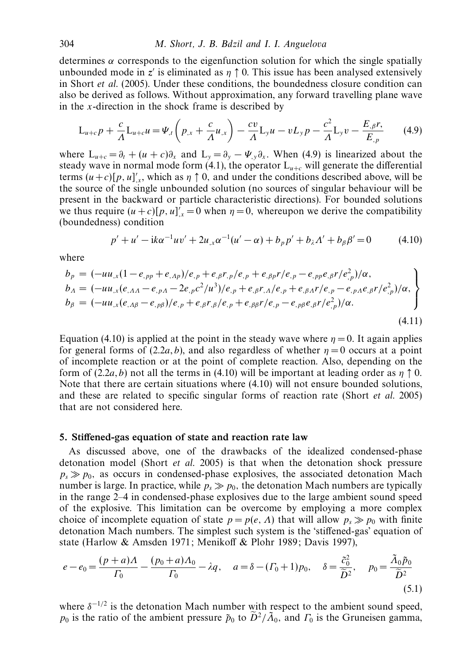determines *α* corresponds to the eigenfunction solution for which the single spatially unbounded mode in *z'* is eliminated as  $\eta \uparrow 0$ . This issue has been analysed extensively in Short et al. (2005). Under these conditions, the boundedness closure condition can also be derived as follows. Without approximation, any forward travelling plane wave in the *x*-direction in the shock frame is described by

$$
L_{u+c}p + \frac{c}{A}L_{u+c}u = \Psi_{,t}\left(p_{,x} + \frac{c}{A}u_{,x}\right) - \frac{cv}{A}L_{y}u - vL_{y}p - \frac{c^{2}}{A}L_{y}v - \frac{E_{,\beta}r}{E_{,p}} \tag{4.9}
$$

where  $L_{u+c} = \partial_t + (u+c)\partial_x$  and  $L_y = \partial_y - \Psi_y \partial_x$ . When (4.9) is linearized about the steady wave in normal mode form  $(4.1)$ , the operator  $L_{u+c}$  will generate the differential terms  $(u+c)[p, u]'_{x}$ , which as  $\eta \uparrow 0$ , and under the conditions described above, will be the source of the single unbounded solution (no sources of singular behaviour will be present in the backward or particle characteristic directions). For bounded solutions we thus require  $(u + c)[p, u]'_{x} = 0$  when  $\eta = 0$ , whereupon we derive the compatibility (boundedness) condition

$$
p' + u' - ik\alpha^{-1}uv' + 2u_{,x}\alpha^{-1}(u' - \alpha) + b_{p}p' + b_{\lambda}A' + b_{\beta}\beta' = 0 \qquad (4.10)
$$

where

$$
b_{p} = (-uu_{,x}(1-e_{,pp}+e_{,Ap})/e_{,p}+e_{,β}r_{,p}/e_{,p}+e_{,βp}r/e_{,p}-e_{,pp}e_{,β}r/e_{,p}^{2})/\alpha, \nb_{A} = (-uu_{,x}(e_{,AA}-e_{,pA}-2e_{,p}c^{2}/u^{3})/e_{,p}+e_{,β}r_{,A}/e_{,p}+e_{,βA}r/e_{,p}-e_{,pA}e_{,β}r/e_{,p}^{2})/\alpha, \nb_{\beta} = (-uu_{,x}(e_{,A\beta}-e_{,p\beta})/e_{,p}+e_{,β}r_{,β}/e_{,p}+e_{,β\beta}r/e_{,p}-e_{,p\beta}e_{,β}r/e_{,p}^{2})/\alpha.
$$
\n(4.11)

Equation (4.10) is applied at the point in the steady wave where  $\eta = 0$ . It again applies for general forms of  $(2.2a, b)$ , and also regardless of whether  $\eta = 0$  occurs at a point of incomplete reaction or at the point of complete reaction. Also, depending on the form of  $(2.2a, b)$  not all the terms in (4.10) will be important at leading order as  $\eta \uparrow 0$ . Note that there are certain situations where (4.10) will not ensure bounded solutions, and these are related to specific singular forms of reaction rate (Short et al. 2005) that are not considered here.

#### *5. Stiffened-gas equation of state and reaction rate law*

As discussed above, one of the drawbacks of the idealized condensed-phase detonation model (Short *et al.* 2005) is that when the detonation shock pressure  $p_s \gg p_0$ , as occurs in condensed-phase explosives, the associated detonation Mach number is large. In practice, while  $p_s \gg p_0$ , the detonation Mach numbers are typically in the range 2–4 in condensed-phase explosives due to the large ambient sound speed of the explosive. This limitation can be overcome by employing a more complex choice of incomplete equation of state  $p = p(e, \Lambda)$  that will allow  $p_s \gg p_0$  with finite detonation Mach numbers. The simplest such system is the 'stiffened-gas' equation of state (Harlow & Amsden 1971; Menikoff & Plohr 1989; Davis 1997),

$$
e - e_0 = \frac{(p+a)\Lambda}{\Gamma_0} - \frac{(p_0+a)\Lambda_0}{\Gamma_0} - \lambda q, \quad a = \delta - (\Gamma_0 + 1)p_0, \quad \delta = \frac{\tilde{c}_0^2}{\tilde{D}^2}, \quad p_0 = \frac{\tilde{\Lambda}_0 \tilde{p}_0}{\tilde{D}^2}
$$
(5.1)

where  $\delta^{-1/2}$  is the detonation Mach number with respect to the ambient sound speed, *p*<sup>0</sup> is the ratio of the ambient pressure  $\tilde{p}_0$  to  $\tilde{D}^2/\tilde{\Lambda}_0$ , and  $\Gamma_0$  is the Gruneisen gamma,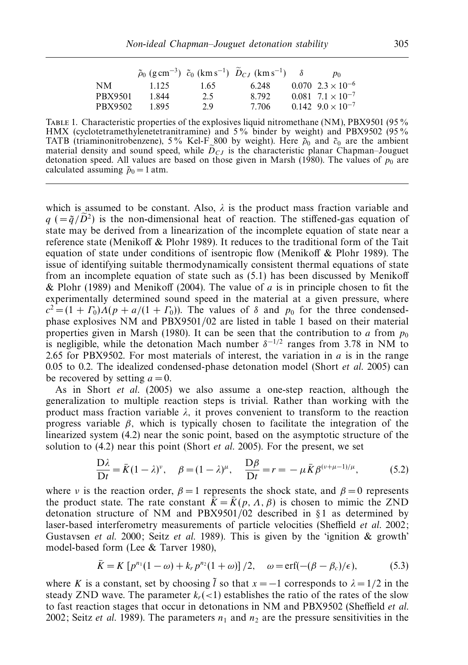|                |       |      | $\tilde{\rho}_0$ (g cm <sup>-3</sup> ) $\tilde{c}_0$ (km s <sup>-1</sup> ) $\tilde{D}_{CJ}$ (km s <sup>-1</sup> ) | $p_0$                            |
|----------------|-------|------|-------------------------------------------------------------------------------------------------------------------|----------------------------------|
| <b>NM</b>      | 1.125 | 1.65 | 6.248                                                                                                             | $0.070 \t2.3 \times 10^{-6}$     |
| <b>PBX9501</b> | 1.844 | 2.5  | 8.792                                                                                                             | $0.081 \cdot 7.1 \times 10^{-7}$ |
| PBX9502        | 1.895 | 2.9  | 7.706                                                                                                             | $0.142 \cdot 9.0 \times 10^{-7}$ |

TABLE 1. Characteristic properties of the explosives liquid nitromethane (NM), PBX9501 (95% HMX (cyclotetramethylenetetranitramine) and 5% binder by weight) and PBX9502 (95% TATB (triaminonitrobenzene), 5% Kel-F<sub>-800</sub> by weight). Here  $\tilde{\rho}_0$  and  $\tilde{c}_0$  are the ambient material density and sound speed, while  $D_{CJ}$  is the characteristic planar Chapman–Jouguet<br>detension greed, All values are besed on these given in Marsh (1980). The values of nu are detonation speed. All values are based on those given in Marsh (1980). The values of  $p_0$  are calculated assuming  $\tilde{p}_0 = 1$  atm.

which is assumed to be constant. Also,  $\lambda$  is the product mass fraction variable and  $q$  ( $=\tilde{q}/\tilde{D}^2$ ) is the non-dimensional heat of reaction. The stiffened-gas equation of state may be derived from a linearization of the incomplete equation of state near a reference state (Menikoff & Plohr 1989). It reduces to the traditional form of the Tait equation of state under conditions of isentropic flow (Menikoff & Plohr 1989). The issue of identifying suitable thermodynamically consistent thermal equations of state from an incomplete equation of state such as (5*.*1) has been discussed by Menikoff & Plohr (1989) and Menikoff (2004). The value of *a* is in principle chosen to fit the experimentally determined sound speed in the material at a given pressure, where  $c^2 = (1 + \Gamma_0) \Lambda (p + a/(1 + \Gamma_0))$ . The values of *δ* and *p*<sub>0</sub> for the three condensedphase explosives NM and PBX9501/02 are listed in table 1 based on their material properties given in Marsh (1980). It can be seen that the contribution to *a* from  $p_0$ is negligible, while the detonation Mach number  $\delta^{-1/2}$  ranges from 3.78 in NM to 2.65 for PBX9502. For most materials of interest, the variation in *a* is in the range 0.05 to 0.2. The idealized condensed-phase detonation model (Short et al. 2005) can be recovered by setting  $a = 0$ .

As in Short et al. (2005) we also assume a one-step reaction, although the generalization to multiple reaction steps is trivial. Rather than working with the product mass fraction variable  $\lambda$ , it proves convenient to transform to the reaction progress variable  $\beta$ , which is typically chosen to facilitate the integration of the linearized system (4.2) near the sonic point, based on the asymptotic structure of the solution to (4.2) near this point (Short et al. 2005). For the present, we set

$$
\frac{\mathcal{D}\lambda}{\mathcal{D}t} = \bar{K}(1-\lambda)^{\nu}, \quad \beta = (1-\lambda)^{\mu}, \quad \frac{\mathcal{D}\beta}{\mathcal{D}t} = r = -\mu \bar{K}\beta^{(\nu+\mu-1)/\mu}, \tag{5.2}
$$

where *ν* is the reaction order,  $\beta = 1$  represents the shock state, and  $\beta = 0$  represents the product state. The rate constant  $\bar{K} = \bar{K}(p, \Lambda, \beta)$  is chosen to mimic the ZND detonation structure of NM and PBX9501/02 described in § 1 as determined by laser-based interferometry measurements of particle velocities (Sheffield et al. 2002; Gustavsen et al. 2000; Seitz et al. 1989). This is given by the 'ignition  $\&$  growth' model-based form (Lee & Tarver 1980),

$$
\bar{K} = K [p^{n_1}(1 - \omega) + k_r p^{n_2}(1 + \omega)] / 2, \quad \omega = \text{erf}(-(\beta - \beta_c)/\epsilon), \tag{5.3}
$$

where *K* is a constant, set by choosing  $\tilde{l}$  so that  $x = -1$  corresponds to  $\lambda = 1/2$  in the steady ZND wave. The parameter  $k_r(\leq 1)$  establishes the ratio of the rates of the slow to fast reaction stages that occur in detonations in NM and PBX9502 (Sheffield et al. 2002; Seitz *et al.* 1989). The parameters  $n_1$  and  $n_2$  are the pressure sensitivities in the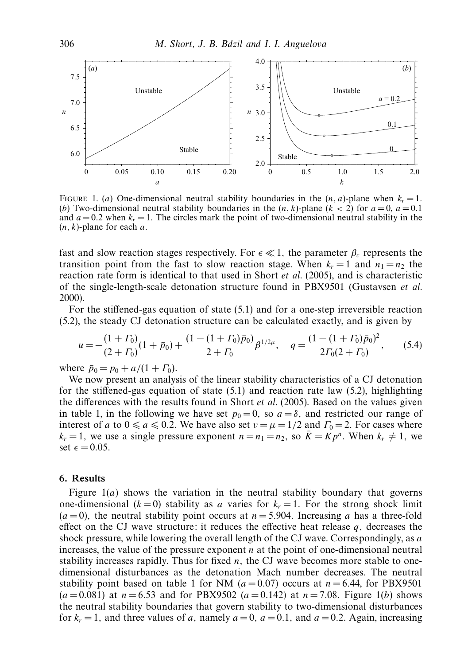

FIGURE 1. (*a*) One-dimensional neutral stability boundaries in the  $(n, a)$ -plane when  $k_r = 1$ . (*b*) Two-dimensional neutral stability boundaries in the  $(n, k)$ -plane  $(k < 2)$  for  $a = 0$ ,  $a = 0.1$ and  $a = 0.2$  when  $k_r = 1$ . The circles mark the point of two-dimensional neutral stability in the (*n, k*)-plane for each *a.*

fast and slow reaction stages respectively. For  $\epsilon \ll 1$ , the parameter  $\beta_c$  represents the transition point from the fast to slow reaction stage. When  $k_r = 1$  and  $n_1 = n_2$  the reaction rate form is identical to that used in Short *et al.* (2005), and is characteristic of the single-length-scale detonation structure found in PBX9501 (Gustavsen et al. 2000).

For the stiffened-gas equation of state (5.1) and for a one-step irreversible reaction (5.2), the steady CJ detonation structure can be calculated exactly, and is given by

$$
u = -\frac{(1+ \Gamma_0)}{(2+\Gamma_0)}(1+\bar{p}_0) + \frac{(1-(1+\Gamma_0)\bar{p}_0)}{2+\Gamma_0}\beta^{1/2\mu}, \quad q = \frac{(1-(1+\Gamma_0)\bar{p}_0)^2}{2\Gamma_0(2+\Gamma_0)},\tag{5.4}
$$

where  $\bar{p}_0 = p_0 + a/(1 + \Gamma_0)$ .

We now present an analysis of the linear stability characteristics of a CJ detonation for the stiffened-gas equation of state  $(5.1)$  and reaction rate law  $(5.2)$ , highlighting the differences with the results found in Short et al. (2005). Based on the values given in table 1, in the following we have set  $p_0 = 0$ , so  $a = \delta$ , and restricted our range of interest of *a* to  $0 \le a \le 0.2$ . We have also set  $\nu = \mu = 1/2$  and  $\Gamma_0 = 2$ . For cases where  $k_r = 1$ , we use a single pressure exponent  $n = n_1 = n_2$ , so  $\bar{K} = K p^n$ . When  $k_r \neq 1$ , we set  $\epsilon = 0.05$ .

#### *6. Results*

Figure  $1(a)$  shows the variation in the neutral stability boundary that governs one-dimensional  $(k = 0)$  stability as *a* varies for  $k_r = 1$ . For the strong shock limit  $(a = 0)$ , the neutral stability point occurs at  $n = 5.904$ . Increasing *a* has a three-fold effect on the CJ wave structure: it reduces the effective heat release  $q$ , decreases the shock pressure, while lowering the overall length of the CJ wave. Correspondingly, as *a* increases, the value of the pressure exponent *n* at the point of one-dimensional neutral stability increases rapidly. Thus for fixed *n,* the CJ wave becomes more stable to onedimensional disturbances as the detonation Mach number decreases. The neutral stability point based on table 1 for NM  $(a=0.07)$  occurs at  $n=6.44$ , for PBX9501  $(a = 0.081)$  at  $n = 6.53$  and for PBX9502  $(a = 0.142)$  at  $n = 7.08$ *.* Figure 1(*b*) shows the neutral stability boundaries that govern stability to two-dimensional disturbances for  $k_r = 1$ , and three values of *a*, namely  $a = 0$ ,  $a = 0.1$ , and  $a = 0.2$ . Again, increasing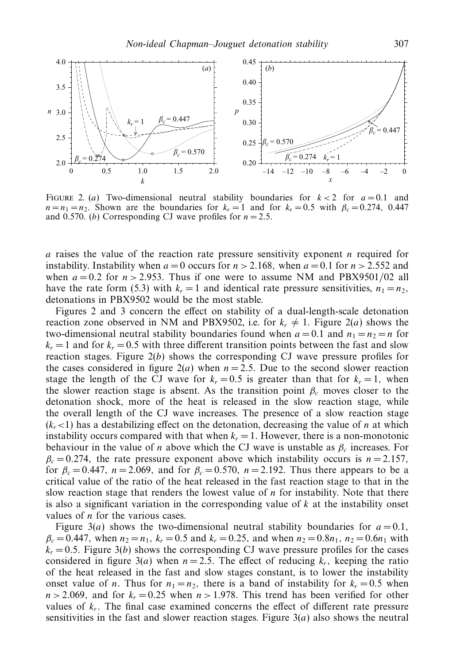

FIGURE 2. (*a*) Two-dimensional neutral stability boundaries for  $k < 2$  for  $a = 0.1$  and  $n = n_1 = n_2$ . Shown are the boundaries for  $k_r = 1$  and for  $k_r = 0.5$  with  $\beta_c = 0.274$ , 0.447 and 0.570*.* (*b*) Corresponding CJ wave profiles for  $n = 2.5$ *.* 

*a* raises the value of the reaction rate pressure sensitivity exponent *n* required for instability. Instability when  $a = 0$  occurs for  $n > 2.168$ , when  $a = 0.1$  for  $n > 2.552$  and when  $a = 0.2$  for  $n > 2.953$ . Thus if one were to assume NM and PBX9501/02 all have the rate form (5.3) with  $k_r = 1$  and identical rate pressure sensitivities,  $n_1 = n_2$ , detonations in PBX9502 would be the most stable.

Figures 2 and 3 concern the effect on stability of a dual-length-scale detonation reaction zone observed in NM and PBX9502, i.e. for  $k_r \neq 1$ . Figure 2(*a*) shows the two-dimensional neutral stability boundaries found when  $a = 0.1$  and  $n_1 = n_2 = n$  for  $k_r = 1$  and for  $k_r = 0.5$  with three different transition points between the fast and slow reaction stages. Figure  $2(b)$  shows the corresponding CJ wave pressure profiles for the cases considered in figure  $2(a)$  when  $n = 2.5$ . Due to the second slower reaction stage the length of the CJ wave for  $k_r = 0.5$  is greater than that for  $k_r = 1$ , when the slower reaction stage is absent. As the transition point  $\beta_c$  moves closer to the detonation shock, more of the heat is released in the slow reaction stage, while the overall length of the CJ wave increases. The presence of a slow reaction stage  $(k_r < 1)$  has a destabilizing effect on the detonation, decreasing the value of *n* at which instability occurs compared with that when  $k_r = 1$ . However, there is a non-monotonic behaviour in the value of *n* above which the CJ wave is unstable as  $\beta_c$  increases. For  $\beta_c = 0.274$ , the rate pressure exponent above which instability occurs is  $n = 2.157$ , for  $\beta_c = 0.447$ ,  $n = 2.069$ , and for  $\beta_c = 0.570$ ,  $n = 2.192$ . Thus there appears to be a critical value of the ratio of the heat released in the fast reaction stage to that in the slow reaction stage that renders the lowest value of *n* for instability. Note that there is also a significant variation in the corresponding value of *k* at the instability onset values of *n* for the various cases.

Figure 3(*a*) shows the two-dimensional neutral stability boundaries for  $a = 0.1$ ,  $\beta_c = 0.447$ , when  $n_2 = n_1$ ,  $k_r = 0.5$  and  $k_r = 0.25$ , and when  $n_2 = 0.8n_1$ ,  $n_2 = 0.6n_1$  with  $k_r = 0.5$ . Figure 3(*b*) shows the corresponding CJ wave pressure profiles for the cases considered in figure 3(*a*) when  $n = 2.5$ . The effect of reducing  $k_r$ , keeping the ratio of the heat released in the fast and slow stages constant, is to lower the instability onset value of *n*. Thus for  $n_1 = n_2$ , there is a band of instability for  $k_r = 0.5$  when  $n > 2.069$ , and for  $k_r = 0.25$  when  $n > 1.978$ . This trend has been verified for other values of  $k_r$ . The final case examined concerns the effect of different rate pressure sensitivities in the fast and slower reaction stages. Figure 3(*a*) also shows the neutral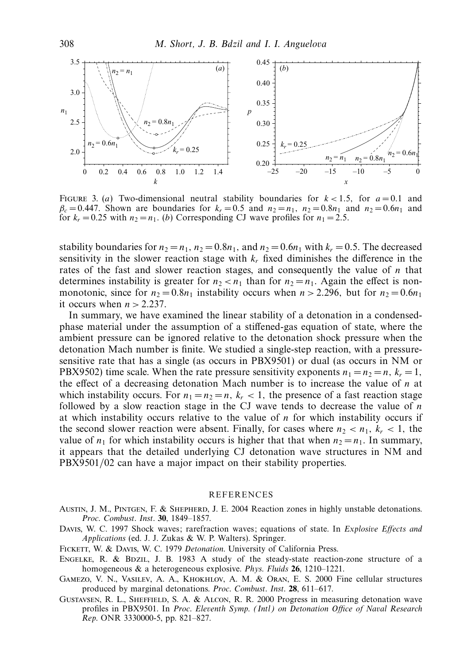

FIGURE 3. (*a*) Two-dimensional neutral stability boundaries for  $k < 1.5$ , for  $a = 0.1$  and  $\beta_c = 0.447$ . Shown are boundaries for  $k_r = 0.5$  and  $n_2 = n_1$ ,  $n_2 = 0.8n_1$  and  $n_2 = 0.6n_1$  and for  $k_r = 0.25$  with  $n_2 = n_1$ . (*b*) Corresponding CJ wave profiles for  $n_1 = 2.5$ .

stability boundaries for  $n_2 = n_1$ ,  $n_2 = 0.8n_1$ , and  $n_2 = 0.6n_1$  with  $k_r = 0.5$ . The decreased sensitivity in the slower reaction stage with  $k_r$  fixed diminishes the difference in the rates of the fast and slower reaction stages, and consequently the value of *n* that determines instability is greater for  $n_2 < n_1$  than for  $n_2 = n_1$ . Again the effect is nonmonotonic, since for  $n_2 = 0.8n_1$  instability occurs when  $n > 2.296$ , but for  $n_2 = 0.6n_1$ it occurs when  $n > 2.237$ .

In summary, we have examined the linear stability of a detonation in a condensedphase material under the assumption of a stiffened-gas equation of state, where the ambient pressure can be ignored relative to the detonation shock pressure when the detonation Mach number is finite. We studied a single-step reaction, with a pressuresensitive rate that has a single (as occurs in PBX9501) or dual (as occurs in NM or PBX9502) time scale. When the rate pressure sensitivity exponents  $n_1 = n_2 = n$ ,  $k_r = 1$ , the effect of a decreasing detonation Mach number is to increase the value of *n* at which instability occurs. For  $n_1 = n_2 = n$ ,  $k_r < 1$ , the presence of a fast reaction stage followed by a slow reaction stage in the CJ wave tends to decrease the value of *n* at which instability occurs relative to the value of *n* for which instability occurs if the second slower reaction were absent. Finally, for cases where  $n_2 < n_1$ ,  $k_r < 1$ , the value of  $n_1$  for which instability occurs is higher that that when  $n_2 = n_1$ . In summary, it appears that the detailed underlying CJ detonation wave structures in NM and PBX9501/02 can have a major impact on their stability properties.

#### **REFERENCES**

- AUSTIN, J. M., PINTGEN, F. & SHEPHERD, J. E. 2004 Reaction zones in highly unstable detonations. Proc. Combust. Inst. **30**, 1849–1857.
- DAVIS, W. C. 1997 Shock waves; rarefraction waves; equations of state. In Explosive Effects and Applications (ed. J. J. Zukas & W. P. Walters). Springer.
- FICKETT, W. & DAVIS, W. C. 1979 Detonation. University of California Press.
- ENGELKE, R. & BDZIL, J. B. 1983 A study of the steady-state reaction-zone structure of a homogeneous & a heterogeneous explosive. Phys. Fluids **26**, 1210–1221.
- Gamezo, V. N., Vasilev, A. A., Khokhlov, A. M. & Oran, E. S. 2000 Fine cellular structures produced by marginal detonations. Proc. Combust. Inst. **28**, 611–617.
- Gustavsen, R. L., Sheffield, S. A. & Alcon, R. R. 2000 Progress in measuring detonation wave profiles in PBX9501. In Proc. Eleventh Symp. (Intl) on Detonation Office of Naval Research Rep. ONR 3330000-5, pp. 821–827.